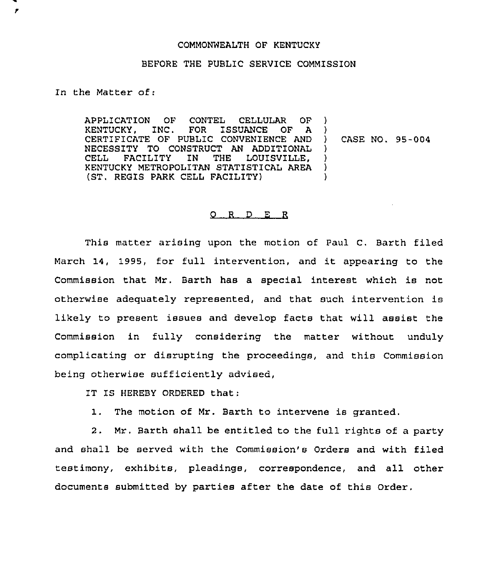## COMMONWEALTH OF KENTUCKY

## BEFORE THE PUBLIC SERVICE COMMISSION

In the Matter of:

У

APPLICATION OF CONTEL CELLULAR OF<br>KENTUCKY, INC. FOR ISSUANCE OF A FOR ISSUANCE OF A CERTIFICATE OF PUBLIC CONVENIENCE AND NECESSITY TO CONSTRUCT AN ADDITIONAL<br>CELL FACILITY IN THE LOUISVILLE. LOUISVILLE. KENTUCKY METROPOLITAN STATISTICAL AREA (ST, REGIS PARK CELL FACILITY) ) ) ) CASE NO. 95-004 )  $\lambda$ )  $\lambda$ 

## 0 <sup>R</sup> <sup>D</sup> E R

This matter arising upon the motion of Paul C. Earth filed March 14, 1995, for full intervention, and it appearing to the Commission that Mr. Barth has a special interest which is not otherwise adequately represented, and that such intervention is likely to present issues and develop facts that will assist the Commission in fully considering the matter without unduly complicating or disrupting the proceedings, and this Commission being otherwise sufficiently advised,

IT IS HEREBY ORDERED that:

1. The motion of Mr. Barth to intervene is granted.

2. Mr. Barth shall be entitled to the full rights of a party and shall be served with the Commission's Orders and with filed testimony, exhibits, pleadings, correspondence, and all other documents submitted by parties after the date of this Order.